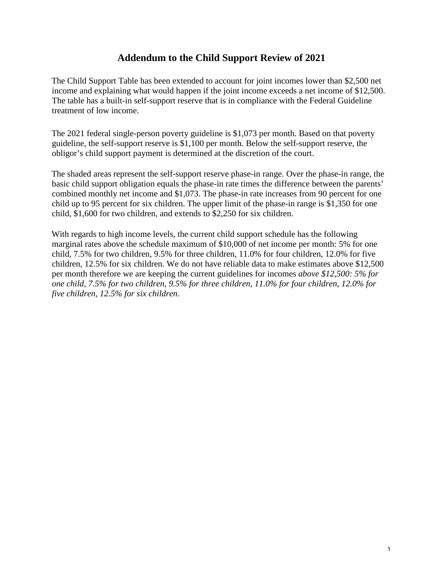## **Addendum to the Child Support Review of 2021**

The Child Support Table has been extended to account for joint incomes lower than \$2,500 net income and explaining what would happen if the joint income exceeds a net income of \$12,500. The table has a built-in self-support reserve that is in compliance with the Federal Guideline treatment of low income.

The 2021 federal single-person poverty guideline is \$1,073 per month. Based on that poverty guideline, the self-support reserve is \$1,100 per month. Below the self-support reserve, the obligor's child support payment is determined at the discretion of the court.

The shaded areas represent the self-support reserve phase-in range. Over the phase-in range, the basic child support obligation equals the phase-in rate times the difference between the parents' combined monthly net income and \$1,073. The phase-in rate increases from 90 percent for one child up to 95 percent for six children. The upper limit of the phase-in range is \$1,350 for one child, \$1,600 for two children, and extends to \$2,250 for six children.

With regards to high income levels, the current child support schedule has the following marginal rates above the schedule maximum of \$10,000 of net income per month: 5% for one child, 7.5% for two children, 9.5% for three children, 11.0% for four children, 12.0% for five children, 12.5% for six children. We do not have reliable data to make estimates above \$12,500 per month therefore we are keeping the current guidelines for incomes *above \$12,500: 5% for one child, 7.5% for two children, 9.5% for three children, 11.0% for four children, 12.0% for five children, 12.5% for six children*.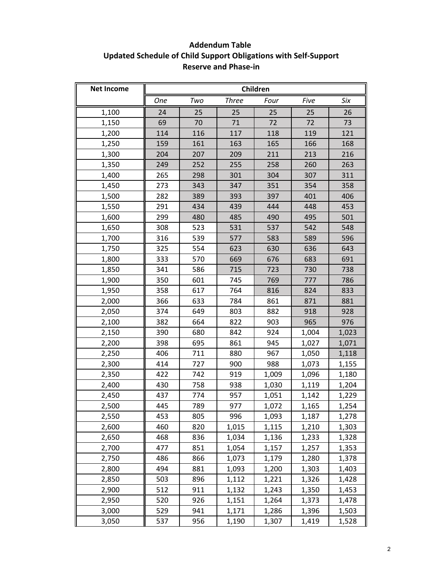## **Addendum Table Updated Schedule of Child Support Obligations with Self-Support Reserve and Phase-in**

| <b>Net Income</b> | Children   |     |              |       |       |       |
|-------------------|------------|-----|--------------|-------|-------|-------|
|                   | <b>One</b> | Two | <b>Three</b> | Four  | Five  | Six   |
| 1,100             | 24         | 25  | 25           | 25    | 25    | 26    |
| 1,150             | 69         | 70  | 71           | 72    | 72    | 73    |
| 1,200             | 114        | 116 | 117          | 118   | 119   | 121   |
| 1,250             | 159        | 161 | 163          | 165   | 166   | 168   |
| 1,300             | 204        | 207 | 209          | 211   | 213   | 216   |
| 1,350             | 249        | 252 | 255          | 258   | 260   | 263   |
| 1,400             | 265        | 298 | 301          | 304   | 307   | 311   |
| 1,450             | 273        | 343 | 347          | 351   | 354   | 358   |
| 1,500             | 282        | 389 | 393          | 397   | 401   | 406   |
| 1,550             | 291        | 434 | 439          | 444   | 448   | 453   |
| 1,600             | 299        | 480 | 485          | 490   | 495   | 501   |
| 1,650             | 308        | 523 | 531          | 537   | 542   | 548   |
| 1,700             | 316        | 539 | 577          | 583   | 589   | 596   |
| 1,750             | 325        | 554 | 623          | 630   | 636   | 643   |
| 1,800             | 333        | 570 | 669          | 676   | 683   | 691   |
| 1,850             | 341        | 586 | 715          | 723   | 730   | 738   |
| 1,900             | 350        | 601 | 745          | 769   | 777   | 786   |
| 1,950             | 358        | 617 | 764          | 816   | 824   | 833   |
| 2,000             | 366        | 633 | 784          | 861   | 871   | 881   |
| 2,050             | 374        | 649 | 803          | 882   | 918   | 928   |
| 2,100             | 382        | 664 | 822          | 903   | 965   | 976   |
| 2,150             | 390        | 680 | 842          | 924   | 1,004 | 1,023 |
| 2,200             | 398        | 695 | 861          | 945   | 1,027 | 1,071 |
| 2,250             | 406        | 711 | 880          | 967   | 1,050 | 1,118 |
| 2,300             | 414        | 727 | 900          | 988   | 1,073 | 1,155 |
| 2,350             | 422        | 742 | 919          | 1,009 | 1,096 | 1,180 |
| 2,400             | 430        | 758 | 938          | 1,030 | 1,119 | 1,204 |
| 2,450             | 437        | 774 | 957          | 1,051 | 1,142 | 1,229 |
| 2,500             | 445        | 789 | 977          | 1,072 | 1,165 | 1,254 |
| 2,550             | 453        | 805 | 996          | 1,093 | 1,187 | 1,278 |
| 2,600             | 460        | 820 | 1,015        | 1,115 | 1,210 | 1,303 |
| 2,650             | 468        | 836 | 1,034        | 1,136 | 1,233 | 1,328 |
| 2,700             | 477        | 851 | 1,054        | 1,157 | 1,257 | 1,353 |
| 2,750             | 486        | 866 | 1,073        | 1,179 | 1,280 | 1,378 |
| 2,800             | 494        | 881 | 1,093        | 1,200 | 1,303 | 1,403 |
| 2,850             | 503        | 896 | 1,112        | 1,221 | 1,326 | 1,428 |
| 2,900             | 512        | 911 | 1,132        | 1,243 | 1,350 | 1,453 |
| 2,950             | 520        | 926 | 1,151        | 1,264 | 1,373 | 1,478 |
| 3,000             | 529        | 941 | 1,171        | 1,286 | 1,396 | 1,503 |
| 3,050             | 537        | 956 | 1,190        | 1,307 | 1,419 | 1,528 |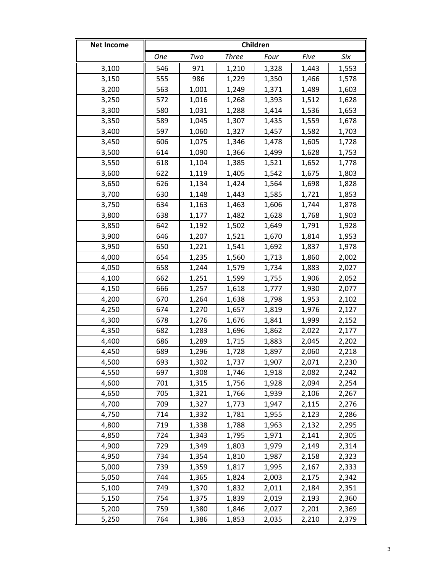| <b>Net Income</b> | Children   |       |              |       |       |       |
|-------------------|------------|-------|--------------|-------|-------|-------|
|                   | <b>One</b> | Two   | <b>Three</b> | Four  | Five  | Six   |
| 3,100             | 546        | 971   | 1,210        | 1,328 | 1,443 | 1,553 |
| 3,150             | 555        | 986   | 1,229        | 1,350 | 1,466 | 1,578 |
| 3,200             | 563        | 1,001 | 1,249        | 1,371 | 1,489 | 1,603 |
| 3,250             | 572        | 1,016 | 1,268        | 1,393 | 1,512 | 1,628 |
| 3,300             | 580        | 1,031 | 1,288        | 1,414 | 1,536 | 1,653 |
| 3,350             | 589        | 1,045 | 1,307        | 1,435 | 1,559 | 1,678 |
| 3,400             | 597        | 1,060 | 1,327        | 1,457 | 1,582 | 1,703 |
| 3,450             | 606        | 1,075 | 1,346        | 1,478 | 1,605 | 1,728 |
| 3,500             | 614        | 1,090 | 1,366        | 1,499 | 1,628 | 1,753 |
| 3,550             | 618        | 1,104 | 1,385        | 1,521 | 1,652 | 1,778 |
| 3,600             | 622        | 1,119 | 1,405        | 1,542 | 1,675 | 1,803 |
| 3,650             | 626        | 1,134 | 1,424        | 1,564 | 1,698 | 1,828 |
| 3,700             | 630        | 1,148 | 1,443        | 1,585 | 1,721 | 1,853 |
| 3,750             | 634        | 1,163 | 1,463        | 1,606 | 1,744 | 1,878 |
| 3,800             | 638        | 1,177 | 1,482        | 1,628 | 1,768 | 1,903 |
| 3,850             | 642        | 1,192 | 1,502        | 1,649 | 1,791 | 1,928 |
| 3,900             | 646        | 1,207 | 1,521        | 1,670 | 1,814 | 1,953 |
| 3,950             | 650        | 1,221 | 1,541        | 1,692 | 1,837 | 1,978 |
| 4,000             | 654        | 1,235 | 1,560        | 1,713 | 1,860 | 2,002 |
| 4,050             | 658        | 1,244 | 1,579        | 1,734 | 1,883 | 2,027 |
| 4,100             | 662        | 1,251 | 1,599        | 1,755 | 1,906 | 2,052 |
| 4,150             | 666        | 1,257 | 1,618        | 1,777 | 1,930 | 2,077 |
| 4,200             | 670        | 1,264 | 1,638        | 1,798 | 1,953 | 2,102 |
| 4,250             | 674        | 1,270 | 1,657        | 1,819 | 1,976 | 2,127 |
| 4,300             | 678        | 1,276 | 1,676        | 1,841 | 1,999 | 2,152 |
| 4,350             | 682        | 1,283 | 1,696        | 1,862 | 2,022 | 2,177 |
| 4,400             | 686        | 1,289 | 1,715        | 1,883 | 2,045 | 2,202 |
| 4,450             | 689        | 1,296 | 1,728        | 1,897 | 2,060 | 2,218 |
| 4,500             | 693        | 1,302 | 1,737        | 1,907 | 2,071 | 2,230 |
| 4,550             | 697        | 1,308 | 1,746        | 1,918 | 2,082 | 2,242 |
| 4,600             | 701        | 1,315 | 1,756        | 1,928 | 2,094 | 2,254 |
| 4,650             | 705        | 1,321 | 1,766        | 1,939 | 2,106 | 2,267 |
| 4,700             | 709        | 1,327 | 1,773        | 1,947 | 2,115 | 2,276 |
| 4,750             | 714        | 1,332 | 1,781        | 1,955 | 2,123 | 2,286 |
| 4,800             | 719        | 1,338 | 1,788        | 1,963 | 2,132 | 2,295 |
| 4,850             | 724        | 1,343 | 1,795        | 1,971 | 2,141 | 2,305 |
| 4,900             | 729        | 1,349 | 1,803        | 1,979 | 2,149 | 2,314 |
| 4,950             | 734        | 1,354 | 1,810        | 1,987 | 2,158 | 2,323 |
| 5,000             | 739        | 1,359 | 1,817        | 1,995 | 2,167 | 2,333 |
| 5,050             | 744        | 1,365 | 1,824        | 2,003 | 2,175 | 2,342 |
| 5,100             | 749        | 1,370 | 1,832        | 2,011 | 2,184 | 2,351 |
| 5,150             | 754        | 1,375 | 1,839        | 2,019 | 2,193 | 2,360 |
| 5,200             | 759        | 1,380 | 1,846        | 2,027 | 2,201 | 2,369 |
| 5,250             | 764        | 1,386 | 1,853        | 2,035 | 2,210 | 2,379 |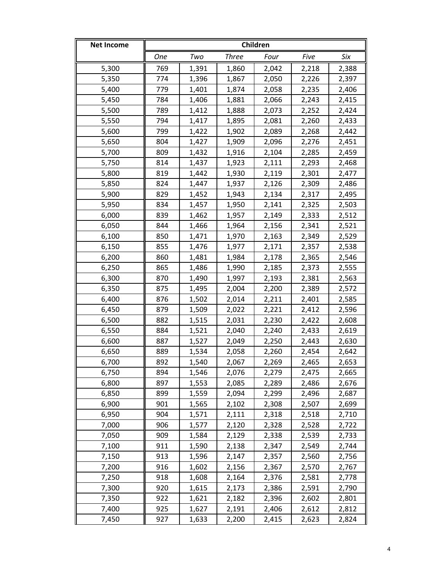| <b>Net Income</b> | Children   |       |              |       |       |       |
|-------------------|------------|-------|--------------|-------|-------|-------|
|                   | <b>One</b> | Two   | <b>Three</b> | Four  | Five  | Six   |
| 5,300             | 769        | 1,391 | 1,860        | 2,042 | 2,218 | 2,388 |
| 5,350             | 774        | 1,396 | 1,867        | 2,050 | 2,226 | 2,397 |
| 5,400             | 779        | 1,401 | 1,874        | 2,058 | 2,235 | 2,406 |
| 5,450             | 784        | 1,406 | 1,881        | 2,066 | 2,243 | 2,415 |
| 5,500             | 789        | 1,412 | 1,888        | 2,073 | 2,252 | 2,424 |
| 5,550             | 794        | 1,417 | 1,895        | 2,081 | 2,260 | 2,433 |
| 5,600             | 799        | 1,422 | 1,902        | 2,089 | 2,268 | 2,442 |
| 5,650             | 804        | 1,427 | 1,909        | 2,096 | 2,276 | 2,451 |
| 5,700             | 809        | 1,432 | 1,916        | 2,104 | 2,285 | 2,459 |
| 5,750             | 814        | 1,437 | 1,923        | 2,111 | 2,293 | 2,468 |
| 5,800             | 819        | 1,442 | 1,930        | 2,119 | 2,301 | 2,477 |
| 5,850             | 824        | 1,447 | 1,937        | 2,126 | 2,309 | 2,486 |
| 5,900             | 829        | 1,452 | 1,943        | 2,134 | 2,317 | 2,495 |
| 5,950             | 834        | 1,457 | 1,950        | 2,141 | 2,325 | 2,503 |
| 6,000             | 839        | 1,462 | 1,957        | 2,149 | 2,333 | 2,512 |
| 6,050             | 844        | 1,466 | 1,964        | 2,156 | 2,341 | 2,521 |
| 6,100             | 850        | 1,471 | 1,970        | 2,163 | 2,349 | 2,529 |
| 6,150             | 855        | 1,476 | 1,977        | 2,171 | 2,357 | 2,538 |
| 6,200             | 860        | 1,481 | 1,984        | 2,178 | 2,365 | 2,546 |
| 6,250             | 865        | 1,486 | 1,990        | 2,185 | 2,373 | 2,555 |
| 6,300             | 870        | 1,490 | 1,997        | 2,193 | 2,381 | 2,563 |
| 6,350             | 875        | 1,495 | 2,004        | 2,200 | 2,389 | 2,572 |
| 6,400             | 876        | 1,502 | 2,014        | 2,211 | 2,401 | 2,585 |
| 6,450             | 879        | 1,509 | 2,022        | 2,221 | 2,412 | 2,596 |
| 6,500             | 882        | 1,515 | 2,031        | 2,230 | 2,422 | 2,608 |
| 6,550             | 884        | 1,521 | 2,040        | 2,240 | 2,433 | 2,619 |
| 6,600             | 887        | 1,527 | 2,049        | 2,250 | 2,443 | 2,630 |
| 6,650             | 889        | 1,534 | 2,058        | 2,260 | 2,454 | 2,642 |
| 6,700             | 892        | 1,540 | 2,067        | 2,269 | 2,465 | 2,653 |
| 6,750             | 894        | 1,546 | 2,076        | 2,279 | 2,475 | 2,665 |
| 6,800             | 897        | 1,553 | 2,085        | 2,289 | 2,486 | 2,676 |
| 6,850             | 899        | 1,559 | 2,094        | 2,299 | 2,496 | 2,687 |
| 6,900             | 901        | 1,565 | 2,102        | 2,308 | 2,507 | 2,699 |
| 6,950             | 904        | 1,571 | 2,111        | 2,318 | 2,518 | 2,710 |
| 7,000             | 906        | 1,577 | 2,120        | 2,328 | 2,528 | 2,722 |
| 7,050             | 909        | 1,584 | 2,129        | 2,338 | 2,539 | 2,733 |
| 7,100             | 911        | 1,590 | 2,138        | 2,347 | 2,549 | 2,744 |
| 7,150             | 913        | 1,596 | 2,147        | 2,357 | 2,560 | 2,756 |
| 7,200             | 916        | 1,602 | 2,156        | 2,367 | 2,570 | 2,767 |
| 7,250             | 918        | 1,608 | 2,164        | 2,376 | 2,581 | 2,778 |
| 7,300             | 920        | 1,615 | 2,173        | 2,386 | 2,591 | 2,790 |
| 7,350             | 922        | 1,621 | 2,182        | 2,396 | 2,602 | 2,801 |
| 7,400             | 925        | 1,627 | 2,191        | 2,406 | 2,612 | 2,812 |
| 7,450             | 927        | 1,633 | 2,200        | 2,415 | 2,623 | 2,824 |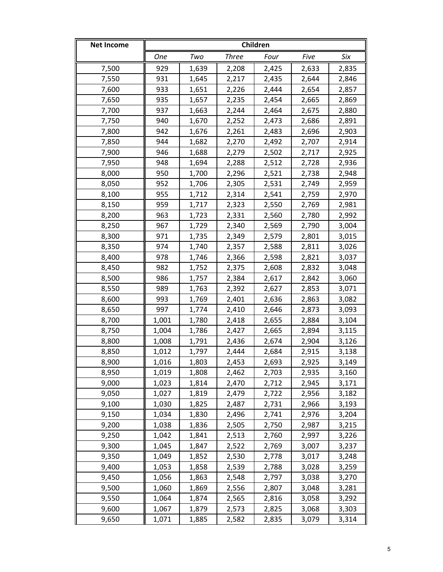| <b>Net Income</b> | Children   |       |              |       |       |       |
|-------------------|------------|-------|--------------|-------|-------|-------|
|                   | <b>One</b> | Two   | <b>Three</b> | Four  | Five  | Six   |
| 7,500             | 929        | 1,639 | 2,208        | 2,425 | 2,633 | 2,835 |
| 7,550             | 931        | 1,645 | 2,217        | 2,435 | 2,644 | 2,846 |
| 7,600             | 933        | 1,651 | 2,226        | 2,444 | 2,654 | 2,857 |
| 7,650             | 935        | 1,657 | 2,235        | 2,454 | 2,665 | 2,869 |
| 7,700             | 937        | 1,663 | 2,244        | 2,464 | 2,675 | 2,880 |
| 7,750             | 940        | 1,670 | 2,252        | 2,473 | 2,686 | 2,891 |
| 7,800             | 942        | 1,676 | 2,261        | 2,483 | 2,696 | 2,903 |
| 7,850             | 944        | 1,682 | 2,270        | 2,492 | 2,707 | 2,914 |
| 7,900             | 946        | 1,688 | 2,279        | 2,502 | 2,717 | 2,925 |
| 7,950             | 948        | 1,694 | 2,288        | 2,512 | 2,728 | 2,936 |
| 8,000             | 950        | 1,700 | 2,296        | 2,521 | 2,738 | 2,948 |
| 8,050             | 952        | 1,706 | 2,305        | 2,531 | 2,749 | 2,959 |
| 8,100             | 955        | 1,712 | 2,314        | 2,541 | 2,759 | 2,970 |
| 8,150             | 959        | 1,717 | 2,323        | 2,550 | 2,769 | 2,981 |
| 8,200             | 963        | 1,723 | 2,331        | 2,560 | 2,780 | 2,992 |
| 8,250             | 967        | 1,729 | 2,340        | 2,569 | 2,790 | 3,004 |
| 8,300             | 971        | 1,735 | 2,349        | 2,579 | 2,801 | 3,015 |
| 8,350             | 974        | 1,740 | 2,357        | 2,588 | 2,811 | 3,026 |
| 8,400             | 978        | 1,746 | 2,366        | 2,598 | 2,821 | 3,037 |
| 8,450             | 982        | 1,752 | 2,375        | 2,608 | 2,832 | 3,048 |
| 8,500             | 986        | 1,757 | 2,384        | 2,617 | 2,842 | 3,060 |
| 8,550             | 989        | 1,763 | 2,392        | 2,627 | 2,853 | 3,071 |
| 8,600             | 993        | 1,769 | 2,401        | 2,636 | 2,863 | 3,082 |
| 8,650             | 997        | 1,774 | 2,410        | 2,646 | 2,873 | 3,093 |
| 8,700             | 1,001      | 1,780 | 2,418        | 2,655 | 2,884 | 3,104 |
| 8,750             | 1,004      | 1,786 | 2,427        | 2,665 | 2,894 | 3,115 |
| 8,800             | 1,008      | 1,791 | 2,436        | 2,674 | 2,904 | 3,126 |
| 8,850             | 1,012      | 1,797 | 2,444        | 2,684 | 2,915 | 3,138 |
| 8,900             | 1,016      | 1,803 | 2,453        | 2,693 | 2,925 | 3,149 |
| 8,950             | 1,019      | 1,808 | 2,462        | 2,703 | 2,935 | 3,160 |
| 9,000             | 1,023      | 1,814 | 2,470        | 2,712 | 2,945 | 3,171 |
| 9,050             | 1,027      | 1,819 | 2,479        | 2,722 | 2,956 | 3,182 |
| 9,100             | 1,030      | 1,825 | 2,487        | 2,731 | 2,966 | 3,193 |
| 9,150             | 1,034      | 1,830 | 2,496        | 2,741 | 2,976 | 3,204 |
| 9,200             | 1,038      | 1,836 | 2,505        | 2,750 | 2,987 | 3,215 |
| 9,250             | 1,042      | 1,841 | 2,513        | 2,760 | 2,997 | 3,226 |
| 9,300             | 1,045      | 1,847 | 2,522        | 2,769 | 3,007 | 3,237 |
| 9,350             | 1,049      | 1,852 | 2,530        | 2,778 | 3,017 | 3,248 |
| 9,400             | 1,053      | 1,858 | 2,539        | 2,788 | 3,028 | 3,259 |
| 9,450             | 1,056      | 1,863 | 2,548        | 2,797 | 3,038 | 3,270 |
| 9,500             | 1,060      | 1,869 | 2,556        | 2,807 | 3,048 | 3,281 |
| 9,550             | 1,064      | 1,874 | 2,565        | 2,816 | 3,058 | 3,292 |
| 9,600             | 1,067      | 1,879 | 2,573        | 2,825 | 3,068 | 3,303 |
| 9,650             | 1,071      | 1,885 | 2,582        | 2,835 | 3,079 | 3,314 |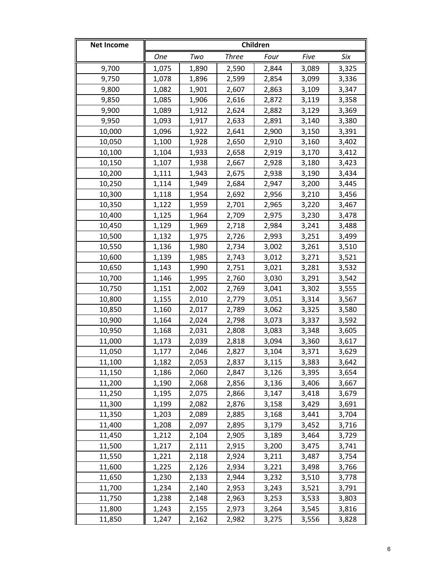| <b>Net Income</b> | Children |       |              |       |       |       |
|-------------------|----------|-------|--------------|-------|-------|-------|
|                   | One      | Two   | <b>Three</b> | Four  | Five  | Six   |
| 9,700             | 1,075    | 1,890 | 2,590        | 2,844 | 3,089 | 3,325 |
| 9,750             | 1,078    | 1,896 | 2,599        | 2,854 | 3,099 | 3,336 |
| 9,800             | 1,082    | 1,901 | 2,607        | 2,863 | 3,109 | 3,347 |
| 9,850             | 1,085    | 1,906 | 2,616        | 2,872 | 3,119 | 3,358 |
| 9,900             | 1,089    | 1,912 | 2,624        | 2,882 | 3,129 | 3,369 |
| 9,950             | 1,093    | 1,917 | 2,633        | 2,891 | 3,140 | 3,380 |
| 10,000            | 1,096    | 1,922 | 2,641        | 2,900 | 3,150 | 3,391 |
| 10,050            | 1,100    | 1,928 | 2,650        | 2,910 | 3,160 | 3,402 |
| 10,100            | 1,104    | 1,933 | 2,658        | 2,919 | 3,170 | 3,412 |
| 10,150            | 1,107    | 1,938 | 2,667        | 2,928 | 3,180 | 3,423 |
| 10,200            | 1,111    | 1,943 | 2,675        | 2,938 | 3,190 | 3,434 |
| 10,250            | 1,114    | 1,949 | 2,684        | 2,947 | 3,200 | 3,445 |
| 10,300            | 1,118    | 1,954 | 2,692        | 2,956 | 3,210 | 3,456 |
| 10,350            | 1,122    | 1,959 | 2,701        | 2,965 | 3,220 | 3,467 |
| 10,400            | 1,125    | 1,964 | 2,709        | 2,975 | 3,230 | 3,478 |
| 10,450            | 1,129    | 1,969 | 2,718        | 2,984 | 3,241 | 3,488 |
| 10,500            | 1,132    | 1,975 | 2,726        | 2,993 | 3,251 | 3,499 |
| 10,550            | 1,136    | 1,980 | 2,734        | 3,002 | 3,261 | 3,510 |
| 10,600            | 1,139    | 1,985 | 2,743        | 3,012 | 3,271 | 3,521 |
| 10,650            | 1,143    | 1,990 | 2,751        | 3,021 | 3,281 | 3,532 |
| 10,700            | 1,146    | 1,995 | 2,760        | 3,030 | 3,291 | 3,542 |
| 10,750            | 1,151    | 2,002 | 2,769        | 3,041 | 3,302 | 3,555 |
| 10,800            | 1,155    | 2,010 | 2,779        | 3,051 | 3,314 | 3,567 |
| 10,850            | 1,160    | 2,017 | 2,789        | 3,062 | 3,325 | 3,580 |
| 10,900            | 1,164    | 2,024 | 2,798        | 3,073 | 3,337 | 3,592 |
| 10,950            | 1,168    | 2,031 | 2,808        | 3,083 | 3,348 | 3,605 |
| 11,000            | 1,173    | 2,039 | 2,818        | 3,094 | 3,360 | 3,617 |
| 11,050            | 1,177    | 2,046 | 2,827        | 3,104 | 3,371 | 3,629 |
| 11,100            | 1,182    | 2,053 | 2,837        | 3,115 | 3,383 | 3,642 |
| 11,150            | 1,186    | 2,060 | 2,847        | 3,126 | 3,395 | 3,654 |
| 11,200            | 1,190    | 2,068 | 2,856        | 3,136 | 3,406 | 3,667 |
| 11,250            | 1,195    | 2,075 | 2,866        | 3,147 | 3,418 | 3,679 |
| 11,300            | 1,199    | 2,082 | 2,876        | 3,158 | 3,429 | 3,691 |
| 11,350            | 1,203    | 2,089 | 2,885        | 3,168 | 3,441 | 3,704 |
| 11,400            | 1,208    | 2,097 | 2,895        | 3,179 | 3,452 | 3,716 |
| 11,450            | 1,212    | 2,104 | 2,905        | 3,189 | 3,464 | 3,729 |
| 11,500            | 1,217    | 2,111 | 2,915        | 3,200 | 3,475 | 3,741 |
| 11,550            | 1,221    | 2,118 | 2,924        | 3,211 | 3,487 | 3,754 |
| 11,600            | 1,225    | 2,126 | 2,934        | 3,221 | 3,498 | 3,766 |
| 11,650            | 1,230    | 2,133 | 2,944        | 3,232 | 3,510 | 3,778 |
| 11,700            | 1,234    | 2,140 | 2,953        | 3,243 | 3,521 | 3,791 |
| 11,750            | 1,238    | 2,148 | 2,963        | 3,253 | 3,533 | 3,803 |
| 11,800            | 1,243    | 2,155 | 2,973        | 3,264 | 3,545 | 3,816 |
| 11,850            | 1,247    | 2,162 | 2,982        | 3,275 | 3,556 | 3,828 |